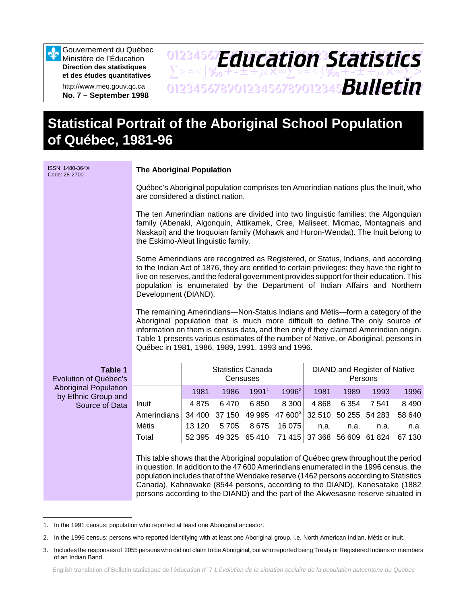Gouvernement du Québec Ministère de l'Éducation **Direction des statistiques et des études quantitatives**

∾

http://www.meq.gouv.qc.ca **No. 7 – September 1998**

## 01234567**F***Anri Stion Statictice*  $\sum z \approx \int \mathcal{Y}_{0} + \pm \pm \div \mu \times \infty$  $\sum z \approx \pm \int \mathcal{Y}_{0} + \pm \pm \div \mu \times \infty$ 01234567890123456789012345678901234567 *Bulletin Education Statistics*

# **Statistical Portrait of the Aboriginal School Population of Québec, 1981-96**

| ISSN: 1480-364X<br>Code: 28-2700                    |                                                                                                                                                                                                                                                                                                                                                                                                                                            | <b>The Aboriginal Population</b>                                                                                                                                                                                                                                     |      |                                      |          |      |      |                                                |      |  |  |  |  |
|-----------------------------------------------------|--------------------------------------------------------------------------------------------------------------------------------------------------------------------------------------------------------------------------------------------------------------------------------------------------------------------------------------------------------------------------------------------------------------------------------------------|----------------------------------------------------------------------------------------------------------------------------------------------------------------------------------------------------------------------------------------------------------------------|------|--------------------------------------|----------|------|------|------------------------------------------------|------|--|--|--|--|
|                                                     | Québec's Aboriginal population comprises ten Amerindian nations plus the Inuit, who<br>are considered a distinct nation.                                                                                                                                                                                                                                                                                                                   |                                                                                                                                                                                                                                                                      |      |                                      |          |      |      |                                                |      |  |  |  |  |
|                                                     | The ten Amerindian nations are divided into two linguistic families: the Algonquian<br>family (Abenaki, Algonquin, Attikamek, Cree, Maliseet, Micmac, Montagnais and<br>Naskapi) and the Iroquoian family (Mohawk and Huron-Wendat). The Inuit belong to<br>the Eskimo-Aleut linguistic family.                                                                                                                                            |                                                                                                                                                                                                                                                                      |      |                                      |          |      |      |                                                |      |  |  |  |  |
|                                                     | Some Amerindians are recognized as Registered, or Status, Indians, and according<br>to the Indian Act of 1876, they are entitled to certain privileges: they have the right to<br>live on reserves, and the federal government provides support for their education. This<br>population is enumerated by the Department of Indian Affairs and Northern<br>Development (DIAND).                                                             |                                                                                                                                                                                                                                                                      |      |                                      |          |      |      |                                                |      |  |  |  |  |
|                                                     | The remaining Amerindians—Non-Status Indians and Métis—form a category of the<br>Aboriginal population that is much more difficult to define. The only source of<br>information on them is census data, and then only if they claimed Amerindian origin.<br>Table 1 presents various estimates of the number of Native, or Aboriginal, persons in<br>Québec in 1981, 1986, 1989, 1991, 1993 and 1996.                                      |                                                                                                                                                                                                                                                                      |      |                                      |          |      |      |                                                |      |  |  |  |  |
| Table 1<br>Evolution of Québec's                    |                                                                                                                                                                                                                                                                                                                                                                                                                                            |                                                                                                                                                                                                                                                                      |      | <b>Statistics Canada</b><br>Censuses |          |      |      | <b>DIAND and Register of Native</b><br>Persons |      |  |  |  |  |
| <b>Aboriginal Population</b><br>by Ethnic Group and |                                                                                                                                                                                                                                                                                                                                                                                                                                            | 1981                                                                                                                                                                                                                                                                 | 1986 | 1991 <sup>1</sup>                    | $1996^2$ | 1981 | 1989 | 1993                                           | 1996 |  |  |  |  |
| Source of Data                                      | Inuit<br>Amerindians<br><b>Métis</b><br>Total                                                                                                                                                                                                                                                                                                                                                                                              | 6470<br>6850<br>4 8 6 8<br>4875<br>8 3 0 0<br>6 3 5 4<br>7 5 4 1<br>37 150<br>49 995<br>47 600 <sup>3</sup><br>32 510 50 255 54 283<br>34 400<br>13 1 20<br>8675<br>16 075<br>5705<br>n.a.<br>n.a.<br>n.a.<br>52 395 49 325 65 410<br>71 415<br>37 368 56 609 61 824 |      |                                      |          |      |      |                                                |      |  |  |  |  |
|                                                     | This table shows that the Aboriginal population of Québec grew throughout the period<br>in question. In addition to the 47 600 Amerindians enumerated in the 1996 census, the<br>population includes that of the Wendake reserve (1462 persons according to Statistics<br>Canada), Kahnawake (8544 persons, according to the DIAND), Kanesatake (1882<br>persons according to the DIAND) and the part of the Akwesasne reserve situated in |                                                                                                                                                                                                                                                                      |      |                                      |          |      |      |                                                |      |  |  |  |  |

<sup>1.</sup> In the 1991 census: population who reported at least one Aboriginal ancestor.

<sup>2.</sup> In the 1996 census: persons who reported identifying with at least one Aboriginal group, i.e. North American Indian, Métis or Inuit.

<sup>3.</sup> Includes the responses of 2055 persons who did not claim to be Aboriginal, but who reported being Treaty or Registered Indians or members of an Indian Band.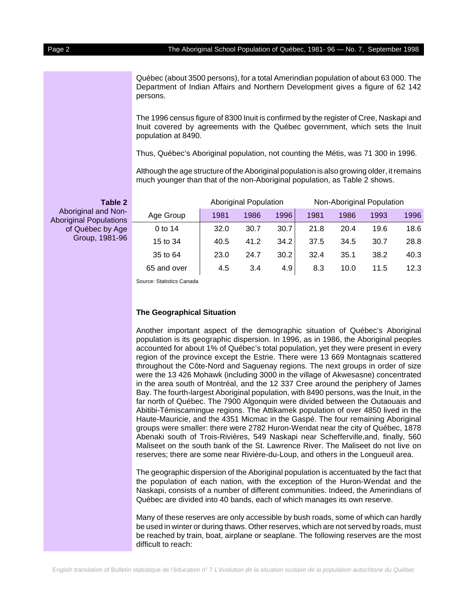Québec (about 3500 persons), for a total Amerindian population of about 63 000. The Department of Indian Affairs and Northern Development gives a figure of 62 142 persons.

The 1996 census figure of 8300 Inuit is confirmed by the register of Cree, Naskapi and Inuit covered by agreements with the Québec government, which sets the Inuit population at 8490.

Thus, Québec's Aboriginal population, not counting the Métis, was 71 300 in 1996.

Although the age structure of the Aboriginal population is also growing older, it remains much younger than that of the non-Aboriginal population, as Table 2 shows.

| <b>Table 2</b>                                       |             |      | <b>Aboriginal Population</b> |      | Non-Aboriginal Population |      |      |      |  |
|------------------------------------------------------|-------------|------|------------------------------|------|---------------------------|------|------|------|--|
| Aboriginal and Non-<br><b>Aboriginal Populations</b> | Age Group   | 1981 | 1986                         | 1996 | 1981                      | 1986 | 1993 | 1996 |  |
| of Québec by Age<br>Group, 1981-96                   | 0 to 14     | 32.0 | 30.7                         | 30.7 | 21.8                      | 20.4 | 19.6 | 18.6 |  |
|                                                      | 15 to 34    | 40.5 | 41.2                         | 34.2 | 37.5                      | 34.5 | 30.7 | 28.8 |  |
|                                                      | 35 to 64    | 23.0 | 24.7                         | 30.2 | 32.4                      | 35.1 | 38.2 | 40.3 |  |
|                                                      | 65 and over | 4.5  | 3.4                          | 4.9  | 8.3                       | 10.0 | 11.5 | 12.3 |  |

Source: Statistics Canada

#### **The Geographical Situation**

Another important aspect of the demographic situation of Québec's Aboriginal population is its geographic dispersion. In 1996, as in 1986, the Aboriginal peoples accounted for about 1% of Québec's total population, yet they were present in every region of the province except the Estrie. There were 13 669 Montagnais scattered throughout the Côte-Nord and Saguenay regions. The next groups in order of size were the 13 426 Mohawk (including 3000 in the village of Akwesasne) concentrated in the area south of Montréal, and the 12 337 Cree around the periphery of James Bay. The fourth-largest Aboriginal population, with 8490 persons, was the Inuit, in the far north of Québec. The 7900 Algonquin were divided between the Outaouais and Abitibi-Témiscamingue regions. The Attikamek population of over 4850 lived in the Haute-Mauricie, and the 4351 Micmac in the Gaspé. The four remaining Aboriginal groups were smaller: there were 2782 Huron-Wendat near the city of Québec, 1878 Abenaki south of Trois-Rivières, 549 Naskapi near Schefferville,and, finally, 560 Maliseet on the south bank of the St. Lawrence River. The Maliseet do not live on reserves; there are some near Rivière-du-Loup, and others in the Longueuil area.

The geographic dispersion of the Aboriginal population is accentuated by the fact that the population of each nation, with the exception of the Huron-Wendat and the Naskapi, consists of a number of different communities. Indeed, the Amerindians of Québec are divided into 40 bands, each of which manages its own reserve.

Many of these reserves are only accessible by bush roads, some of which can hardly be used in winter or during thaws. Other reserves, which are not served by roads, must be reached by train, boat, airplane or seaplane. The following reserves are the most difficult to reach: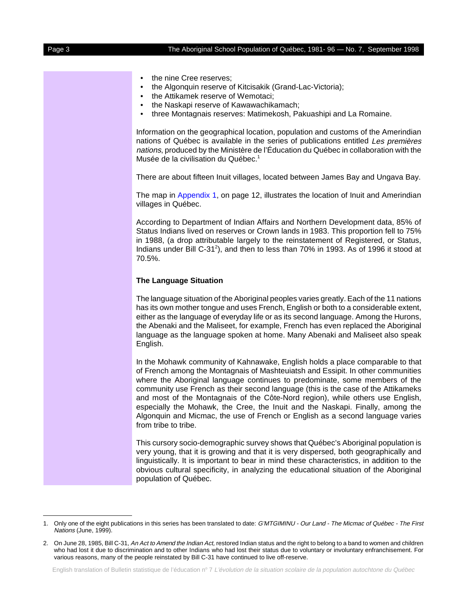| the nine Cree reserves;<br>٠<br>the Algonquin reserve of Kitcisakik (Grand-Lac-Victoria);<br>٠<br>the Attikamek reserve of Wemotaci;<br>٠<br>the Naskapi reserve of Kawawachikamach;<br>٠<br>three Montagnais reserves: Matimekosh, Pakuashipi and La Romaine.<br>$\bullet$                                                                                                                                                                                                                                                                                                                                          |
|----------------------------------------------------------------------------------------------------------------------------------------------------------------------------------------------------------------------------------------------------------------------------------------------------------------------------------------------------------------------------------------------------------------------------------------------------------------------------------------------------------------------------------------------------------------------------------------------------------------------|
| Information on the geographical location, population and customs of the Amerindian<br>nations of Québec is available in the series of publications entitled Les premières<br>nations, produced by the Ministère de l'Éducation du Québec in collaboration with the<br>Musée de la civilisation du Québec. <sup>1</sup>                                                                                                                                                                                                                                                                                               |
| There are about fifteen Inuit villages, located between James Bay and Ungava Bay.                                                                                                                                                                                                                                                                                                                                                                                                                                                                                                                                    |
| The map in Appendix 1, on page 12, illustrates the location of Inuit and Amerindian<br>villages in Québec.                                                                                                                                                                                                                                                                                                                                                                                                                                                                                                           |
| According to Department of Indian Affairs and Northern Development data, 85% of<br>Status Indians lived on reserves or Crown lands in 1983. This proportion fell to 75%<br>in 1988, (a drop attributable largely to the reinstatement of Registered, or Status,<br>Indians under Bill C-31 <sup>2</sup> ), and then to less than 70% in 1993. As of 1996 it stood at<br>70.5%.                                                                                                                                                                                                                                       |
| <b>The Language Situation</b>                                                                                                                                                                                                                                                                                                                                                                                                                                                                                                                                                                                        |
| The language situation of the Aboriginal peoples varies greatly. Each of the 11 nations<br>has its own mother tongue and uses French, English or both to a considerable extent,<br>either as the language of everyday life or as its second language. Among the Hurons,<br>the Abenaki and the Maliseet, for example, French has even replaced the Aboriginal<br>language as the language spoken at home. Many Abenaki and Maliseet also speak<br>English.                                                                                                                                                           |
| In the Mohawk community of Kahnawake, English holds a place comparable to that<br>of French among the Montagnais of Mashteuiatsh and Essipit. In other communities<br>where the Aboriginal language continues to predominate, some members of the<br>community use French as their second language (this is the case of the Attikameks<br>and most of the Montagnais of the Côte-Nord region), while others use English,<br>especially the Mohawk, the Cree, the Inuit and the Naskapi. Finally, among the<br>Algonquin and Micmac, the use of French or English as a second language varies<br>from tribe to tribe. |
| This cursory socio-demographic survey shows that Québec's Aboriginal population is<br>very young, that it is growing and that it is very dispersed, both geographically and<br>linguistically. It is important to bear in mind these characteristics, in addition to the<br>obvious cultural specificity, in analyzing the educational situation of the Aboriginal<br>population of Québec.                                                                                                                                                                                                                          |

<sup>1.</sup> Only one of the eight publications in this series has been translated to date: G'MTGIMINU - Our Land - The Micmac of Québec - The First Nations (June, 1999).

<sup>2.</sup> On June 28, 1985, Bill C-31, An Act to Amend the Indian Act, restored Indian status and the right to belong to a band to women and children who had lost it due to discrimination and to other Indians who had lost their status due to voluntary or involuntary enfranchisement. For various reasons, many of the people reinstated by Bill C-31 have continued to live off-reserve.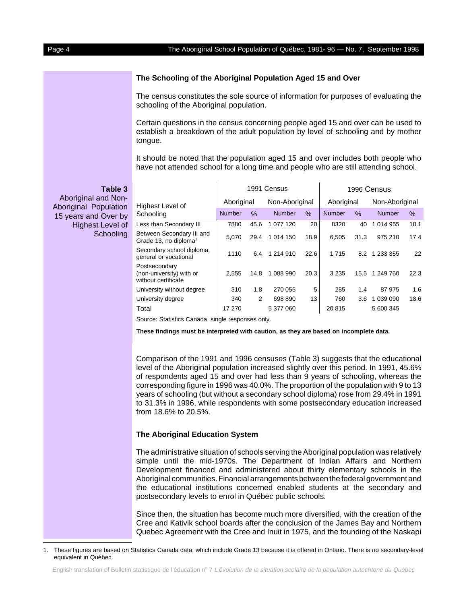#### **The Schooling of the Aboriginal Population Aged 15 and Over**

The census constitutes the sole source of information for purposes of evaluating the schooling of the Aboriginal population.

Certain questions in the census concerning people aged 15 and over can be used to establish a breakdown of the adult population by level of schooling and by mother tongue.

It should be noted that the population aged 15 and over includes both people who have not attended school for a long time and people who are still attending school.

**Table 3** Highest Level of **Schooling** 1991 Census **1996 Census** Aboriginal Non-Aboriginal Aboriginal Non-Aboriginal Number % Number % Number % Number % Less than Secondary III 7880 45.6 1 077 120 20 8320 40 1 014 955 18.1 Between Secondary III and Grade 13, no diploma<sup>1</sup> 5,070 29.4 1 014 150 18.9 6,505 31.3 975 210 17.4 Secondary school diploma, Secondary Scribol diploma, 1110 6.4 1 214 910 22.6 1 715 8.2 1 233 355 22 Postsecondary (non-university) with or without certificate 2,555 14.8 1 088 990 20.3 3 235 15.5 1 249 760 22.3 University without degree | 310 1.8 270 055 5 285 1.4 87 975 1.6 University degree 1 340 2 698 890 13 760 3.6 1 039 090 18.6 Total 17 270 5 377 060 20 815 5 600 345

Source: Statistics Canada, single responses only.

**These findings must be interpreted with caution, as they are based on incomplete data.** 

Comparison of the 1991 and 1996 censuses (Table 3) suggests that the educational level of the Aboriginal population increased slightly over this period. In 1991, 45.6% of respondents aged 15 and over had less than 9 years of schooling, whereas the corresponding figure in 1996 was 40.0%. The proportion of the population with 9 to 13 years of schooling (but without a secondary school diploma) rose from 29.4% in 1991 to 31.3% in 1996, while respondents with some postsecondary education increased from 18.6% to 20.5%.

#### **The Aboriginal Education System**

The administrative situation of schools serving the Aboriginal population was relatively simple until the mid-1970s. The Department of Indian Affairs and Northern Development financed and administered about thirty elementary schools in the Aboriginal communities. Financial arrangements between the federal government and the educational institutions concerned enabled students at the secondary and postsecondary levels to enrol in Québec public schools.

Since then, the situation has become much more diversified, with the creation of the Cree and Kativik school boards after the conclusion of the James Bay and Northern Quebec Agreement with the Cree and Inuit in 1975, and the founding of the Naskapi

Aboriginal and Non-Aboriginal Population 15 years and Over by Highest Level of **Schooling** 

<sup>1.</sup> These figures are based on Statistics Canada data, which include Grade 13 because it is offered in Ontario. There is no secondary-level equivalent in Québec.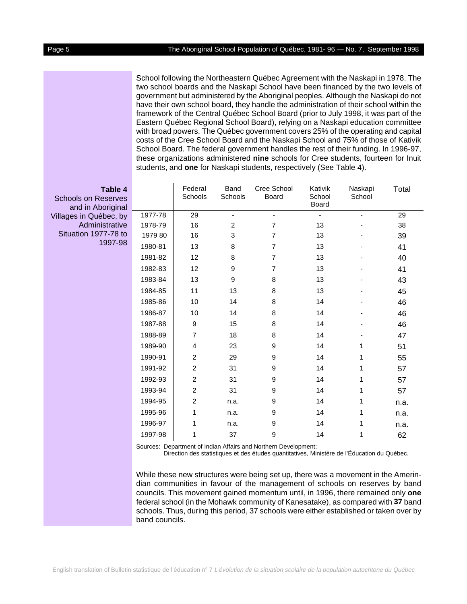School following the Northeastern Québec Agreement with the Naskapi in 1978. The two school boards and the Naskapi School have been financed by the two levels of government but administered by the Aboriginal peoples. Although the Naskapi do not have their own school board, they handle the administration of their school within the framework of the Central Québec School Board (prior to July 1998, it was part of the Eastern Québec Regional School Board), relying on a Naskapi education committee with broad powers. The Québec government covers 25% of the operating and capital costs of the Cree School Board and the Naskapi School and 75% of those of Kativik School Board. The federal government handles the rest of their funding. In 1996-97, these organizations administered **nine** schools for Cree students, fourteen for Inuit students, and **one** for Naskapi students, respectively (See Table 4).

| Table 4<br>ools on Reserves<br>and in Aboriginal |         | Federal<br>Schools      | <b>Band</b><br>Schools | Cree School<br>Board | Kativik<br>School<br>Board | Naskapi<br>School | Total |
|--------------------------------------------------|---------|-------------------------|------------------------|----------------------|----------------------------|-------------------|-------|
| es in Québec, by                                 | 1977-78 | 29                      |                        |                      |                            |                   | 29    |
| Administrative                                   | 1978-79 | 16                      | $\overline{c}$         | 7                    | 13                         |                   | 38    |
| uation 1977-78 to                                | 1979 80 | 16                      | 3                      | 7                    | 13                         |                   | 39    |
| 1997-98                                          | 1980-81 | 13                      | 8                      | $\overline{7}$       | 13                         |                   | 41    |
|                                                  | 1981-82 | 12                      | 8                      | $\overline{7}$       | 13                         |                   | 40    |
|                                                  | 1982-83 | 12                      | 9                      | $\overline{7}$       | 13                         |                   | 41    |
|                                                  | 1983-84 | 13                      | 9                      | 8                    | 13                         |                   | 43    |
|                                                  | 1984-85 | 11                      | 13                     | 8                    | 13                         |                   | 45    |
|                                                  | 1985-86 | 10                      | 14                     | 8                    | 14                         |                   | 46    |
|                                                  | 1986-87 | 10                      | 14                     | 8                    | 14                         |                   | 46    |
|                                                  | 1987-88 | $\boldsymbol{9}$        | 15                     | 8                    | 14                         |                   | 46    |
|                                                  | 1988-89 | 7                       | 18                     | 8                    | 14                         |                   | 47    |
|                                                  | 1989-90 | $\overline{\mathbf{4}}$ | 23                     | 9                    | 14                         | 1                 | 51    |
|                                                  | 1990-91 | $\overline{c}$          | 29                     | 9                    | 14                         | 1                 | 55    |
|                                                  | 1991-92 | 2                       | 31                     | 9                    | 14                         | 1                 | 57    |
|                                                  | 1992-93 | $\mathbf 2$             | 31                     | 9                    | 14                         | 1                 | 57    |
|                                                  | 1993-94 | $\mathbf 2$             | 31                     | 9                    | 14                         | 1                 | 57    |
|                                                  | 1994-95 | $\mathbf 2$             | n.a.                   | 9                    | 14                         | 1                 | n.a.  |
|                                                  | 1995-96 | 1                       | n.a.                   | 9                    | 14                         | 1                 | n.a.  |
|                                                  | 1996-97 | 1                       | n.a.                   | 9                    | 14                         | 1                 | n.a.  |
|                                                  | 1997-98 | 1                       | 37                     | 9                    | 14                         | 1                 | 62    |

Sources: Department of Indian Affairs and Northern Development;

Direction des statistiques et des études quantitatives, Ministère de l'Éducation du Québec.

While these new structures were being set up, there was a movement in the Amerindian communities in favour of the management of schools on reserves by band councils. This movement gained momentum until, in 1996, there remained only **one** federal school (in the Mohawk community of Kanesatake), as compared with **37** band schools. Thus, during this period, 37 schools were either established or taken over by band councils.

School

Villages

Situat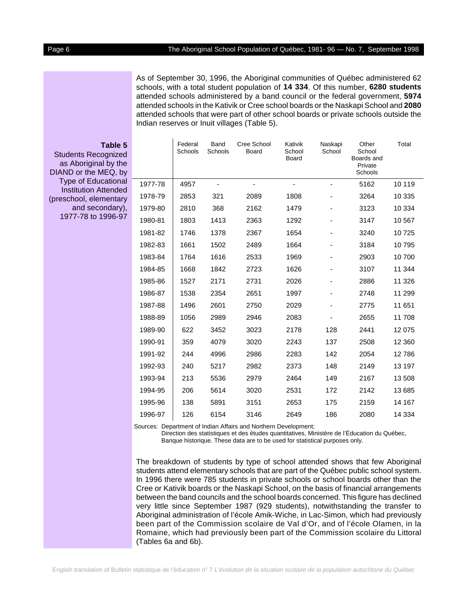As of September 30, 1996, the Aboriginal communities of Québec administered 62 schools, with a total student population of **14 334**. Of this number, **6280 students** attended schools administered by a band council or the federal government, **5974** attended schools in the Kativik or Cree school boards or the Naskapi School and **2080** attended schools that were part of other school boards or private schools outside the Indian reserves or Inuit villages (Table 5).

| <b>Students Recognized</b><br>as Aboriginal by the<br>DIAND or the MEQ, by<br><b>Type of Educational</b> |         | Federal<br>Schools | Band<br>Schools | Cree School<br>Board | Kativik<br>School<br>Board | Naskapi<br>School | Other<br>School<br>Boards and<br>Private<br>Schools | Total   |
|----------------------------------------------------------------------------------------------------------|---------|--------------------|-----------------|----------------------|----------------------------|-------------------|-----------------------------------------------------|---------|
|                                                                                                          | 1977-78 | 4957               |                 |                      |                            |                   | 5162                                                | 10 119  |
|                                                                                                          | 1978-79 | 2853               | 321             | 2089                 | 1808                       |                   | 3264                                                | 10 335  |
| and secondary),                                                                                          | 1979-80 | 2810               | 368             | 2162                 | 1479                       |                   | 3123                                                | 10 3 34 |
| Table 5<br><b>Institution Attended</b><br>(preschool, elementary<br>1977-78 to 1996-97                   | 1980-81 | 1803               | 1413            | 2363                 | 1292                       |                   | 3147                                                | 10 567  |
|                                                                                                          | 1981-82 | 1746               | 1378            | 2367                 | 1654                       |                   | 3240                                                | 10725   |
|                                                                                                          | 1982-83 | 1661               | 1502            | 2489                 | 1664                       |                   | 3184                                                | 10795   |
|                                                                                                          | 1983-84 | 1764               | 1616            | 2533                 | 1969                       |                   | 2903                                                | 10700   |
|                                                                                                          | 1984-85 | 1668               | 1842            | 2723                 | 1626                       |                   | 3107                                                | 11 344  |
|                                                                                                          | 1985-86 | 1527               | 2171            | 2731                 | 2026                       |                   | 2886                                                | 11 3 26 |
|                                                                                                          | 1986-87 | 1538               | 2354            | 2651                 | 1997                       |                   | 2748                                                | 11 299  |
|                                                                                                          | 1987-88 | 1496               | 2601            | 2750                 | 2029                       |                   | 2775                                                | 11 651  |
|                                                                                                          | 1988-89 | 1056               | 2989            | 2946                 | 2083                       |                   | 2655                                                | 11 708  |
|                                                                                                          | 1989-90 | 622                | 3452            | 3023                 | 2178                       | 128               | 2441                                                | 12 0 75 |
|                                                                                                          | 1990-91 | 359                | 4079            | 3020                 | 2243                       | 137               | 2508                                                | 12 3 60 |
|                                                                                                          | 1991-92 | 244                | 4996            | 2986                 | 2283                       | 142               | 2054                                                | 12786   |
|                                                                                                          | 1992-93 | 240                | 5217            | 2982                 | 2373                       | 148               | 2149                                                | 13 197  |
|                                                                                                          | 1993-94 | 213                | 5536            | 2979                 | 2464                       | 149               | 2167                                                | 13 508  |
|                                                                                                          | 1994-95 | 206                | 5614            | 3020                 | 2531                       | 172               | 2142                                                | 13 685  |
|                                                                                                          | 1995-96 | 138                | 5891            | 3151                 | 2653                       | 175               | 2159                                                | 14 167  |
|                                                                                                          | 1996-97 | 126                | 6154            | 3146                 | 2649                       | 186               | 2080                                                | 14 3 34 |

Sources: Department of Indian Affairs and Northern Development;

Direction des statistiques et des études quantitatives, Ministère de l'Éducation du Québec, Banque historique. These data are to be used for statistical purposes only.

The breakdown of students by type of school attended shows that few Aboriginal students attend elementary schools that are part of the Québec public school system. In 1996 there were 785 students in private schools or school boards other than the Cree or Kativik boards or the Naskapi School, on the basis of financial arrangements between the band councils and the school boards concerned. This figure has declined very little since September 1987 (929 students), notwithstanding the transfer to Aboriginal administration of l'école Amik-Wiche, in Lac-Simon, which had previously been part of the Commission scolaire de Val d'Or, and of l'école Olamen, in la Romaine, which had previously been part of the Commission scolaire du Littoral (Tables 6a and 6b).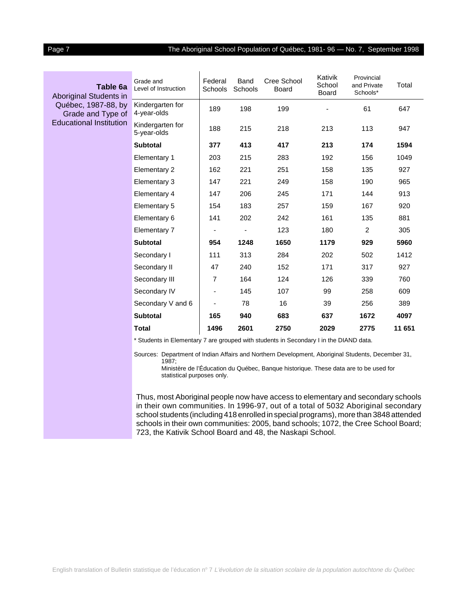### Page 7 The Aboriginal School Population of Québec, 1981- 96 - No. 7, September 1998

| Table 6a                                                                                                    | Grade and<br>Level of Instruction | Federal<br>Schools       | Band<br>Schools | Cree School<br><b>Board</b> | Kativik<br>School<br><b>Board</b> | Provincial<br>and Private<br>Schools* | Total  |
|-------------------------------------------------------------------------------------------------------------|-----------------------------------|--------------------------|-----------------|-----------------------------|-----------------------------------|---------------------------------------|--------|
| <b>Aboriginal Students in</b><br>Québec, 1987-88, by<br>Grade and Type of<br><b>Educational Institution</b> | Kindergarten for<br>4-year-olds   | 189                      | 198             | 199                         |                                   | 61                                    | 647    |
|                                                                                                             | Kindergarten for<br>5-year-olds   | 188                      | 215             | 218                         | 213                               | 113                                   | 947    |
|                                                                                                             | <b>Subtotal</b>                   | 377                      | 413             | 417                         | 213                               | 174                                   | 1594   |
|                                                                                                             | <b>Elementary 1</b>               | 203                      | 215             | 283                         | 192                               | 156                                   | 1049   |
|                                                                                                             | Elementary 2                      | 162                      | 221             | 251                         | 158                               | 135                                   | 927    |
|                                                                                                             | Elementary 3                      | 147                      | 221             | 249                         | 158                               | 190                                   | 965    |
|                                                                                                             | Elementary 4                      | 147                      | 206             | 245                         | 171                               | 144                                   | 913    |
|                                                                                                             | Elementary 5                      | 154                      | 183             | 257                         | 159                               | 167                                   | 920    |
|                                                                                                             | Elementary 6                      | 141                      | 202             | 242                         | 161                               | 135                                   | 881    |
|                                                                                                             | Elementary 7                      |                          |                 | 123                         | 180                               | $\overline{2}$                        | 305    |
|                                                                                                             | <b>Subtotal</b>                   | 954                      | 1248            | 1650                        | 1179                              | 929                                   | 5960   |
|                                                                                                             | Secondary I                       | 111                      | 313             | 284                         | 202                               | 502                                   | 1412   |
|                                                                                                             | Secondary II                      | 47                       | 240             | 152                         | 171                               | 317                                   | 927    |
|                                                                                                             | Secondary III                     | 7                        | 164             | 124                         | 126                               | 339                                   | 760    |
|                                                                                                             | Secondary IV                      | $\overline{\phantom{a}}$ | 145             | 107                         | 99                                | 258                                   | 609    |
|                                                                                                             | Secondary V and 6                 |                          | 78              | 16                          | 39                                | 256                                   | 389    |
|                                                                                                             | Subtotal                          | 165                      | 940             | 683                         | 637                               | 1672                                  | 4097   |
|                                                                                                             | <b>Total</b>                      | 1496                     | 2601            | 2750                        | 2029                              | 2775                                  | 11 651 |

\* Students in Elementary 7 are grouped with students in Secondary I in the DIAND data.

Sources: Department of Indian Affairs and Northern Development, Aboriginal Students, December 31, 1987;

Ministère de l'Éducation du Québec, Banque historique. These data are to be used for statistical purposes only.

Thus, most Aboriginal people now have access to elementary and secondary schools in their own communities. In 1996-97, out of a total of 5032 Aboriginal secondary school students (including 418 enrolled in special programs), more than 3848 attended schools in their own communities: 2005, band schools; 1072, the Cree School Board; 723, the Kativik School Board and 48, the Naskapi School.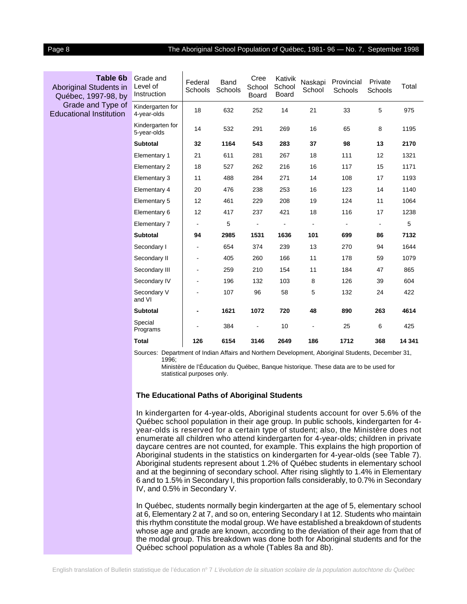#### Page 8 The Aboriginal School Population of Québec, 1981- 96 — No. 7, September 1998

| Table 6b<br>Aboriginal Students in<br>Québec, 1997-98, by | Grade and<br>Level of<br>Instruction | Federal<br>Schools | Band<br>Schools | Cree<br>School<br><b>Board</b> | Kativik<br>School<br><b>Board</b> | Naskapi<br>School | Provincial<br>Schools | Private<br>Schools | Total  |
|-----------------------------------------------------------|--------------------------------------|--------------------|-----------------|--------------------------------|-----------------------------------|-------------------|-----------------------|--------------------|--------|
| Grade and Type of<br><b>Educational Institution</b>       | Kindergarten for<br>4-year-olds      | 18                 | 632             | 252                            | 14                                | 21                | 33                    | 5                  | 975    |
|                                                           | Kindergarten for<br>5-year-olds      | 14                 | 532             | 291                            | 269                               | 16                | 65                    | 8                  | 1195   |
|                                                           | <b>Subtotal</b>                      | 32                 | 1164            | 543                            | 283                               | 37                | 98                    | 13                 | 2170   |
|                                                           | Elementary 1                         | 21                 | 611             | 281                            | 267                               | 18                | 111                   | 12                 | 1321   |
|                                                           | Elementary 2                         | 18                 | 527             | 262                            | 216                               | 16                | 117                   | 15                 | 1171   |
|                                                           | Elementary 3                         | 11                 | 488             | 284                            | 271                               | 14                | 108                   | 17                 | 1193   |
|                                                           | Elementary 4                         | 20                 | 476             | 238                            | 253                               | 16                | 123                   | 14                 | 1140   |
|                                                           | Elementary 5                         | 12                 | 461             | 229                            | 208                               | 19                | 124                   | 11                 | 1064   |
|                                                           | Elementary 6                         | 12                 | 417             | 237                            | 421                               | 18                | 116                   | 17                 | 1238   |
|                                                           | Elementary 7                         | $\blacksquare$     | 5               |                                |                                   | $\blacksquare$    |                       |                    | 5      |
|                                                           | <b>Subtotal</b>                      | 94                 | 2985            | 1531                           | 1636                              | 101               | 699                   | 86                 | 7132   |
|                                                           | Secondary I                          | $\blacksquare$     | 654             | 374                            | 239                               | 13                | 270                   | 94                 | 1644   |
|                                                           | Secondary II                         | ä,                 | 405             | 260                            | 166                               | 11                | 178                   | 59                 | 1079   |
|                                                           | Secondary III                        | ۰                  | 259             | 210                            | 154                               | 11                | 184                   | 47                 | 865    |
|                                                           | Secondary IV                         |                    | 196             | 132                            | 103                               | 8                 | 126                   | 39                 | 604    |
|                                                           | Secondary V<br>and VI                |                    | 107             | 96                             | 58                                | 5                 | 132                   | 24                 | 422    |
|                                                           | <b>Subtotal</b>                      | $\blacksquare$     | 1621            | 1072                           | 720                               | 48                | 890                   | 263                | 4614   |
|                                                           | Special<br>Programs                  |                    | 384             | $\overline{a}$                 | 10                                | ۰                 | 25                    | 6                  | 425    |
|                                                           | <b>Total</b>                         | 126                | 6154            | 3146                           | 2649                              | 186               | 1712                  | 368                | 14 341 |

Sources: Department of Indian Affairs and Northern Development, Aboriginal Students, December 31, 1996;

Ministère de l'Éducation du Québec, Banque historique. These data are to be used for statistical purposes only.

#### **The Educational Paths of Aboriginal Students**

In kindergarten for 4-year-olds, Aboriginal students account for over 5.6% of the Québec school population in their age group. In public schools, kindergarten for 4 year-olds is reserved for a certain type of student; also, the Ministère does not enumerate all children who attend kindergarten for 4-year-olds; children in private daycare centres are not counted, for example. This explains the high proportion of Aboriginal students in the statistics on kindergarten for 4-year-olds (see Table 7). Aboriginal students represent about 1.2% of Québec students in elementary school and at the beginning of secondary school. After rising slightly to 1.4% in Elementary 6 and to 1.5% in Secondary I, this proportion falls considerably, to 0.7% in Secondary IV, and 0.5% in Secondary V.

In Québec, students normally begin kindergarten at the age of 5, elementary school at 6, Elementary 2 at 7, and so on, entering Secondary I at 12. Students who maintain this rhythm constitute the modal group. We have established a breakdown of students whose age and grade are known, according to the deviation of their age from that of the modal group. This breakdown was done both for Aboriginal students and for the Québec school population as a whole (Tables 8a and 8b).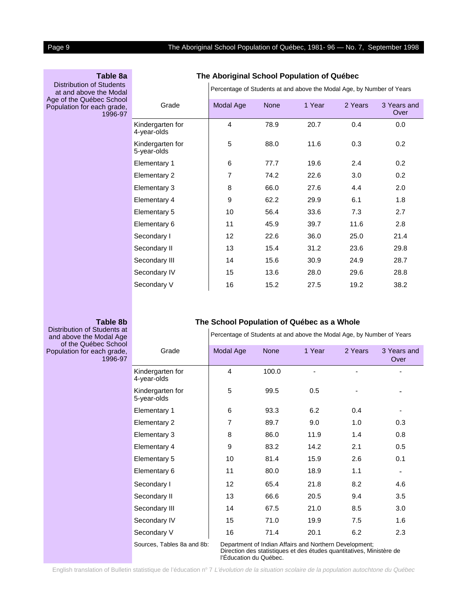#### **Table 8a**

Distribution of Students at and above the Modal Age of the Québec Schoo Population for each grade 1996-97

#### **The Aboriginal School Population of Québec**

Percentage of Students at and above the Modal Age, by Number of Years

| ol<br>э,<br>17 | Grade                           | Modal Age      | <b>None</b> | 1 Year | 2 Years | 3 Years and<br>Over |
|----------------|---------------------------------|----------------|-------------|--------|---------|---------------------|
|                | Kindergarten for<br>4-year-olds | 4              | 78.9        | 20.7   | 0.4     | 0.0                 |
|                | Kindergarten for<br>5-year-olds | 5              | 88.0        | 11.6   | 0.3     | 0.2                 |
|                | Elementary 1                    | 6              | 77.7        | 19.6   | 2.4     | 0.2                 |
|                | <b>Elementary 2</b>             | $\overline{7}$ | 74.2        | 22.6   | 3.0     | 0.2                 |
|                | Elementary 3                    | 8              | 66.0        | 27.6   | 4.4     | 2.0                 |
|                | Elementary 4                    | 9              | 62.2        | 29.9   | 6.1     | 1.8                 |
|                | Elementary 5                    | 10             | 56.4        | 33.6   | 7.3     | 2.7                 |
|                | Elementary 6                    | 11             | 45.9        | 39.7   | 11.6    | 2.8                 |
|                | Secondary I                     | 12             | 22.6        | 36.0   | 25.0    | 21.4                |
|                | Secondary II                    | 13             | 15.4        | 31.2   | 23.6    | 29.8                |
|                | Secondary III                   | 14             | 15.6        | 30.9   | 24.9    | 28.7                |
|                | Secondary IV                    | 15             | 13.6        | 28.0   | 29.6    | 28.8                |
|                | Secondary V                     | 16             | 15.2        | 27.5   | 19.2    | 38.2                |
|                |                                 |                |             |        |         |                     |

#### **Table 8b**

Distribution of Students at and above the Modal Age of the Québec Schoc Population for each grade, 1996-97

#### **The School Population of Québec as a Whole**

Percentage of Students at and above the Modal Age, by Number of Years

| Ы |                                 |                 |             |                                                        |         |                     |
|---|---------------------------------|-----------------|-------------|--------------------------------------------------------|---------|---------------------|
|   | Grade                           | Modal Age       | <b>None</b> | 1 Year                                                 | 2 Years | 3 Years and<br>Over |
|   | Kindergarten for<br>4-year-olds | 4               | 100.0       |                                                        |         |                     |
|   | Kindergarten for<br>5-year-olds | 5               | 99.5        | 0.5                                                    |         |                     |
|   | Elementary 1                    | 6               | 93.3        | 6.2                                                    | 0.4     |                     |
|   | Elementary 2                    | $\overline{7}$  | 89.7        | 9.0                                                    | 1.0     | 0.3                 |
|   | Elementary 3                    | 8               | 86.0        | 11.9                                                   | 1.4     | 0.8                 |
|   | Elementary 4                    | 9               | 83.2        | 14.2                                                   | 2.1     | 0.5                 |
|   | Elementary 5                    | 10              | 81.4        | 15.9                                                   | 2.6     | 0.1                 |
|   | Elementary 6                    | 11              | 80.0        | 18.9                                                   | 1.1     |                     |
|   | Secondary I                     | 12 <sup>2</sup> | 65.4        | 21.8                                                   | 8.2     | 4.6                 |
|   | Secondary II                    | 13              | 66.6        | 20.5                                                   | 9.4     | 3.5                 |
|   | Secondary III                   | 14              | 67.5        | 21.0                                                   | 8.5     | 3.0                 |
|   | Secondary IV                    | 15              | 71.0        | 19.9                                                   | 7.5     | 1.6                 |
|   | Secondary V                     | 16              | 71.4        | 20.1                                                   | 6.2     | 2.3                 |
|   | Sources, Tables 8a and 8b:      |                 |             | Department of Indian Affairs and Northern Development; |         |                     |

Direction des statistiques et des études quantitatives, Ministère de l'Éducation du Québec.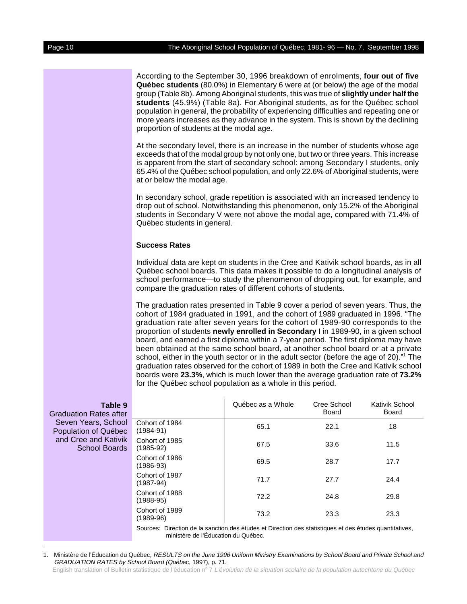According to the September 30, 1996 breakdown of enrolments, **four out of five Québec students** (80.0%) in Elementary 6 were at (or below) the age of the modal group (Table 8b). Among Aboriginal students, this was true of **slightly under half the students** (45.9%) (Table 8a). For Aboriginal students, as for the Québec school population in general, the probability of experiencing difficulties and repeating one or more years increases as they advance in the system. This is shown by the declining proportion of students at the modal age.

At the secondary level, there is an increase in the number of students whose age exceeds that of the modal group by not only one, but two or three years. This increase is apparent from the start of secondary school: among Secondary I students, only 65.4% of the Québec school population, and only 22.6% of Aboriginal students, were at or below the modal age.

In secondary school, grade repetition is associated with an increased tendency to drop out of school. Notwithstanding this phenomenon, only 15.2% of the Aboriginal students in Secondary V were not above the modal age, compared with 71.4% of Québec students in general.

#### **Success Rates**

Individual data are kept on students in the Cree and Kativik school boards, as in all Québec school boards. This data makes it possible to do a longitudinal analysis of school performance—to study the phenomenon of dropping out, for example, and compare the graduation rates of different cohorts of students.

The graduation rates presented in Table 9 cover a period of seven years. Thus, the cohort of 1984 graduated in 1991, and the cohort of 1989 graduated in 1996. "The graduation rate after seven years for the cohort of 1989-90 corresponds to the proportion of students **newly enrolled in Secondary I** in 1989-90, in a given school board, and earned a first diploma within a 7-year period. The first diploma may have been obtained at the same school board, at another school board or at a private school, either in the youth sector or in the adult sector (before the age of 20)."<sup>1</sup> The graduation rates observed for the cohort of 1989 in both the Cree and Kativik school boards were **23.3%**, which is much lower than the average graduation rate of **73.2%** for the Québec school population as a whole in this period.

| Table 9<br><b>Graduation Rates after</b>     |                                                                                                         | Québec as a Whole | Cree School<br>Board | Kativik School<br>Board |  |
|----------------------------------------------|---------------------------------------------------------------------------------------------------------|-------------------|----------------------|-------------------------|--|
| Seven Years, School<br>Population of Québec  | Cohort of 1984<br>$(1984-91)$                                                                           | 65.1              | 22.1                 | 18                      |  |
| and Cree and Kativik<br><b>School Boards</b> | Cohort of 1985<br>$(1985-92)$                                                                           | 67.5              | 33.6                 | 11.5                    |  |
|                                              | Cohort of 1986<br>$(1986-93)$                                                                           | 69.5              | 28.7                 | 17.7                    |  |
|                                              | Cohort of 1987<br>$(1987-94)$                                                                           | 71.7              | 27.7                 | 24.4                    |  |
|                                              | Cohort of 1988<br>$(1988-95)$                                                                           | 72.2              | 24.8                 | 29.8                    |  |
|                                              | Cohort of 1989<br>$(1989-96)$                                                                           | 73.2              | 23.3                 | 23.3                    |  |
|                                              | Sources: Direction de la sanction des études et Direction des statistiques et des études quantitatives, |                   |                      |                         |  |

ministère de l'Éducation du Québec.

English translation of Bulletin statistique de l'éducation nº 7 L'évolution de la situation scolaire de la population autochtone du Québec

<sup>1.</sup> Ministère de l'Éducation du Québec, RESULTS on the June 1996 Uniform Ministry Examinations by School Board and Private School and GRADUATION RATES by School Board (Québec, 1997), p. 71.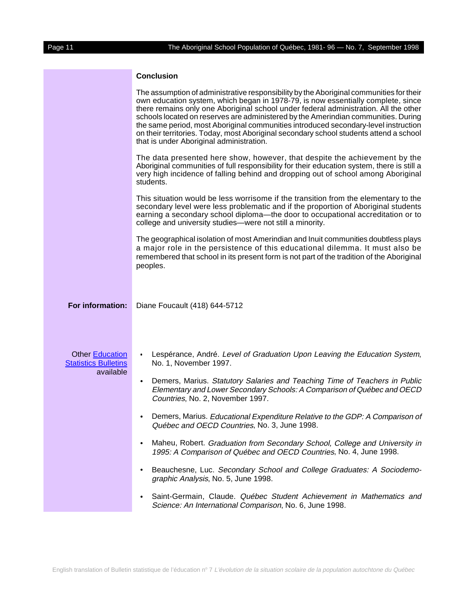### **Conclusion**

|                                                                    | The assumption of administrative responsibility by the Aboriginal communities for their<br>own education system, which began in 1978-79, is now essentially complete, since<br>there remains only one Aboriginal school under federal administration. All the other<br>schools located on reserves are administered by the Amerindian communities. During<br>the same period, most Aboriginal communities introduced secondary-level instruction<br>on their territories. Today, most Aboriginal secondary school students attend a school<br>that is under Aboriginal administration. |
|--------------------------------------------------------------------|----------------------------------------------------------------------------------------------------------------------------------------------------------------------------------------------------------------------------------------------------------------------------------------------------------------------------------------------------------------------------------------------------------------------------------------------------------------------------------------------------------------------------------------------------------------------------------------|
|                                                                    | The data presented here show, however, that despite the achievement by the<br>Aboriginal communities of full responsibility for their education system, there is still a<br>very high incidence of falling behind and dropping out of school among Aboriginal<br>students.                                                                                                                                                                                                                                                                                                             |
|                                                                    | This situation would be less worrisome if the transition from the elementary to the<br>secondary level were less problematic and if the proportion of Aboriginal students<br>earning a secondary school diploma-the door to occupational accreditation or to<br>college and university studies-were not still a minority.                                                                                                                                                                                                                                                              |
|                                                                    | The geographical isolation of most Amerindian and Inuit communities doubtless plays<br>a major role in the persistence of this educational dilemma. It must also be<br>remembered that school in its present form is not part of the tradition of the Aboriginal<br>peoples.                                                                                                                                                                                                                                                                                                           |
| For information:                                                   | Diane Foucault (418) 644-5712                                                                                                                                                                                                                                                                                                                                                                                                                                                                                                                                                          |
| <b>Other Education</b><br><b>Statistics Bulletins</b><br>available | Lespérance, André. Level of Graduation Upon Leaving the Education System,<br>$\bullet$<br>No. 1, November 1997.<br>Demers, Marius. Statutory Salaries and Teaching Time of Teachers in Public<br>$\bullet$<br>Elementary and Lower Secondary Schools: A Comparison of Québec and OECD<br>Countries, No. 2, November 1997.                                                                                                                                                                                                                                                              |
|                                                                    | Demers, Marius. Educational Expenditure Relative to the GDP: A Comparison of<br>$\bullet$<br>Québec and OECD Countries, No. 3, June 1998.                                                                                                                                                                                                                                                                                                                                                                                                                                              |
|                                                                    | Maheu, Robert. Graduation from Secondary School, College and University in<br>$\bullet$<br>1995: A Comparison of Québec and OECD Countries, No. 4, June 1998.                                                                                                                                                                                                                                                                                                                                                                                                                          |
|                                                                    | Beauchesne, Luc. Secondary School and College Graduates: A Sociodemo-<br>$\bullet$<br>graphic Analysis, No. 5, June 1998.                                                                                                                                                                                                                                                                                                                                                                                                                                                              |
|                                                                    | Saint-Germain, Claude. Québec Student Achievement in Mathematics and<br>٠<br>Science: An International Comparison, No. 6, June 1998.                                                                                                                                                                                                                                                                                                                                                                                                                                                   |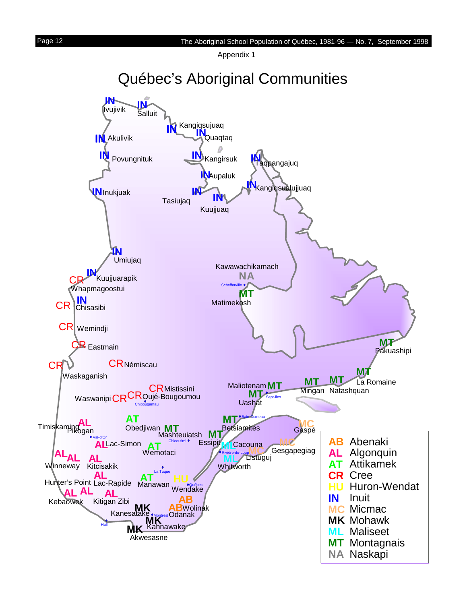Appendix 1



<span id="page-11-0"></span>